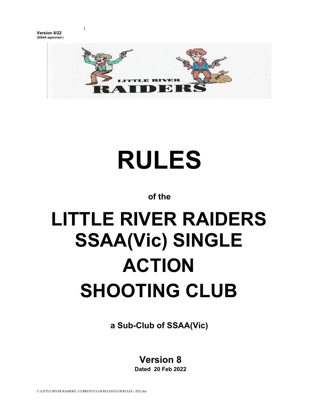**Version 8/22 (SSAA approved )** **)** 



# **RULES**

**of the** 

# **LITTLE RIVER RAIDERS SSAA(Vic) SINGLE ACTION SHOOTING CLUB**

**a Sub-Club of SSAA(Vic)** 

## **Version 8**

**Dated 20 Feb 2022**

C:\LITTLE RIVER RAIDERS - CURRENT\CLUB RULES\CLUB RULES - 2022.doc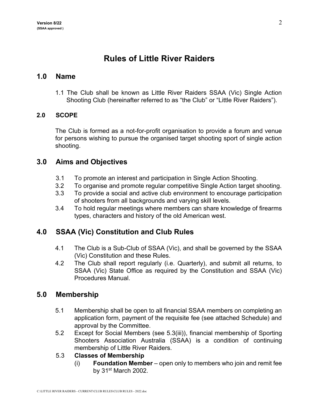### **Rules of Little River Raiders**

#### **1.0 Name**

1.1 The Club shall be known as Little River Raiders SSAA (Vic) Single Action Shooting Club (hereinafter referred to as "the Club" or "Little River Raiders").

#### **2.0 SCOPE**

The Club is formed as a not-for-profit organisation to provide a forum and venue for persons wishing to pursue the organised target shooting sport of single action shooting.

#### **3.0 Aims and Objectives**

- 3.1 To promote an interest and participation in Single Action Shooting.
- 3.2 To organise and promote regular competitive Single Action target shooting.
- 3.3 To provide a social and active club environment to encourage participation of shooters from all backgrounds and varying skill levels.
- 3.4 To hold regular meetings where members can share knowledge of firearms types, characters and history of the old American west.

#### **4.0 SSAA (Vic) Constitution and Club Rules**

- 4.1 The Club is a Sub-Club of SSAA (Vic), and shall be governed by the SSAA (Vic) Constitution and these Rules.
- 4.2 The Club shall report regularly (i.e. Quarterly), and submit all returns, to SSAA (Vic) State Office as required by the Constitution and SSAA (Vic) Procedures Manual.

#### **5.0 Membership**

- 5.1 Membership shall be open to all financial SSAA members on completing an application form, payment of the requisite fee (see attached Schedule) and approval by the Committee.
- 5.2 Except for Social Members (see 5.3(iii)), financial membership of Sporting Shooters Association Australia (SSAA) is a condition of continuing membership of Little River Raiders.

#### 5.3 **Classes of Membership**

(i) **Foundation Member** – open only to members who join and remit fee by 31st March 2002.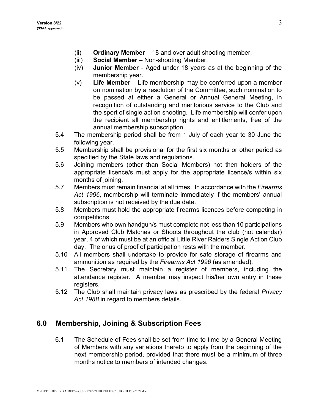- (ii) **Ordinary Member** 18 and over adult shooting member.
- (iii) **Social Member** Non-shooting Member.
- (iv) **Junior Member** Aged under 18 years as at the beginning of the membership year.
- (v) **Life Member** Life membership may be conferred upon a member on nomination by a resolution of the Committee, such nomination to be passed at either a General or Annual General Meeting, in recognition of outstanding and meritorious service to the Club and the sport of single action shooting. Life membership will confer upon the recipient all membership rights and entitlements, free of the annual membership subscription.
- 5.4 The membership period shall be from 1 July of each year to 30 June the following year.
- 5.5 Membership shall be provisional for the first six months or other period as specified by the State laws and regulations.
- 5.6 Joining members (other than Social Members) not then holders of the appropriate licence/s must apply for the appropriate licence/s within six months of joining.
- 5.7 Members must remain financial at all times. In accordance with the *Firearms Act 1996*, membership will terminate immediately if the members' annual subscription is not received by the due date.
- 5.8 Members must hold the appropriate firearms licences before competing in competitions.
- 5.9 Members who own handgun/s must complete not less than 10 participations in Approved Club Matches or Shoots throughout the club (not calendar) year, 4 of which must be at an official Little River Raiders Single Action Club day. The onus of proof of participation rests with the member.
- 5.10 All members shall undertake to provide for safe storage of firearms and ammunition as required by the *Firearms Act 1996* (as amended).
- 5.11 The Secretary must maintain a register of members, including the attendance register. A member may inspect his/her own entry in these registers.
- 5.12 The Club shall maintain privacy laws as prescribed by the federal *Privacy Act 1988* in regard to members details.

#### **6.0 Membership, Joining & Subscription Fees**

6.1 The Schedule of Fees shall be set from time to time by a General Meeting of Members with any variations thereto to apply from the beginning of the next membership period, provided that there must be a minimum of three months notice to members of intended changes.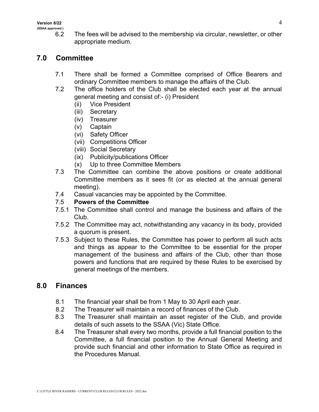6.2 The fees will be advised to the membership via circular, newsletter, or other appropriate medium.

#### **7.0 Committee**

- 7.1 There shall be formed a Committee comprised of Office Bearers and ordinary Committee members to manage the affairs of the Club.
- 7.2 The office holders of the Club shall be elected each year at the annual general meeting and consist of:- (i) President
	- (ii) Vice President
	- (iii) Secretary
	- (iv) Treasurer
	- (v) Captain
	- (vi) Safety Officer
	- (vii) Competitions Officer
	- (viii) Social Secretary
	- (ix) Publicity/publications Officer
	- (x) Up to three Committee Members
- 7.3 The Committee can combine the above positions or create additional Committee members as it sees fit (or as elected at the annual general meeting).
- 7.4 Casual vacancies may be appointed by the Committee.
- 7.5 **Powers of the Committee**
- 7.5.1 The Committee shall control and manage the business and affairs of the Club.
- 7.5.2 The Committee may act, notwithstanding any vacancy in its body, provided a quorum is present.
- 7.5.3 Subject to these Rules, the Committee has power to perform all such acts and things as appear to the Committee to be essential for the proper management of the business and affairs of the Club, other than those powers and functions that are required by these Rules to be exercised by general meetings of the members.

#### **8.0 Finances**

- 8.1 The financial year shall be from 1 May to 30 April each year.
- 8.2 The Treasurer will maintain a record of finances of the Club.
- 8.3 The Treasurer shall maintain an asset register of the Club, and provide details of such assets to the SSAA (Vic) State Office.
- 8.4 The Treasurer shall every two months, provide a full financial position to the Committee, a full financial position to the Annual General Meeting and provide such financial and other information to State Office as required in the Procedures Manual.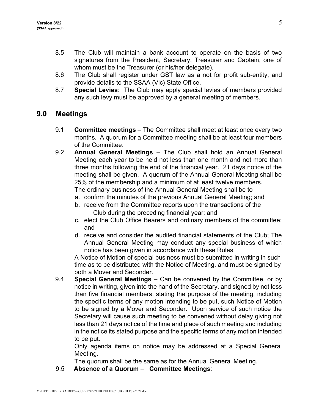- 8.5 The Club will maintain a bank account to operate on the basis of two signatures from the President, Secretary, Treasurer and Captain, one of whom must be the Treasurer (or his/her delegate).
- 8.6 The Club shall register under GST law as a not for profit sub-entity, and provide details to the SSAA (Vic) State Office.
- 8.7 **Special Levies**: The Club may apply special levies of members provided any such levy must be approved by a general meeting of members.

#### **9.0 Meetings**

- 9.1 **Committee meetings** The Committee shall meet at least once every two months. A quorum for a Committee meeting shall be at least four members of the Committee.
- 9.2 **Annual General Meetings** The Club shall hold an Annual General Meeting each year to be held not less than one month and not more than three months following the end of the financial year. 21 days notice of the meeting shall be given. A quorum of the Annual General Meeting shall be 25% of the membership and a minimum of at least twelve members.

The ordinary business of the Annual General Meeting shall be to –

- a. confirm the minutes of the previous Annual General Meeting; and
- b. receive from the Committee reports upon the transactions of the Club during the preceding financial year; and
- c. elect the Club Office Bearers and ordinary members of the committee; and
- d. receive and consider the audited financial statements of the Club; The Annual General Meeting may conduct any special business of which notice has been given in accordance with these Rules.

A Notice of Motion of special business must be submitted in writing in such time as to be distributed with the Notice of Meeting, and must be signed by both a Mover and Seconder.

9.4 **Special General Meetings** – Can be convened by the Committee, or by notice in writing, given into the hand of the Secretary, and signed by not less than five financial members, stating the purpose of the meeting, including the specific terms of any motion intending to be put, such Notice of Motion to be signed by a Mover and Seconder. Upon service of such notice the Secretary will cause such meeting to be convened without delay giving not less than 21 days notice of the time and place of such meeting and including in the notice its stated purpose and the specific terms of any motion intended to be put.

Only agenda items on notice may be addressed at a Special General Meeting.

The quorum shall be the same as for the Annual General Meeting.

9.5 **Absence of a Quorum** – **Committee Meetings**: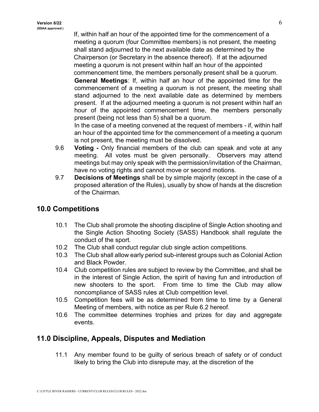If, within half an hour of the appointed time for the commencement of a meeting a quorum (four Committee members) is not present, the meeting shall stand adjourned to the next available date as determined by the Chairperson (or Secretary in the absence thereof). If at the adjourned meeting a quorum is not present within half an hour of the appointed commencement time, the members personally present shall be a quorum.

**General Meetings**: If, within half an hour of the appointed time for the commencement of a meeting a quorum is not present, the meeting shall stand adjourned to the next available date as determined by members present. If at the adjourned meeting a quorum is not present within half an hour of the appointed commencement time, the members personally present (being not less than 5) shall be a quorum.

In the case of a meeting convened at the request of members - if, within half an hour of the appointed time for the commencement of a meeting a quorum is not present, the meeting must be dissolved.

- 9.6 **Voting -** Only financial members of the club can speak and vote at any meeting. All votes must be given personally. Observers may attend meetings but may only speak with the permission/invitation of the Chairman, have no voting rights and cannot move or second motions.
- 9.7 **Decisions of Meetings** shall be by simple majority (except in the case of a proposed alteration of the Rules), usually by show of hands at the discretion of the Chairman.

#### **10.0 Competitions**

- 10.1 The Club shall promote the shooting discipline of Single Action shooting and the Single Action Shooting Society (SASS) Handbook shall regulate the conduct of the sport.
- 10.2 The Club shall conduct regular club single action competitions.
- 10.3 The Club shall allow early period sub-interest groups such as Colonial Action and Black Powder.
- 10.4 Club competition rules are subject to review by the Committee, and shall be in the interest of Single Action, the spirit of having fun and introduction of new shooters to the sport. From time to time the Club may allow noncompliance of SASS rules at Club competition level.
- 10.5 Competition fees will be as determined from time to time by a General Meeting of members, with notice as per Rule 6.2 hereof.
- 10.6 The committee determines trophies and prizes for day and aggregate events.

#### **11.0 Discipline, Appeals, Disputes and Mediation**

11.1 Any member found to be guilty of serious breach of safety or of conduct likely to bring the Club into disrepute may, at the discretion of the